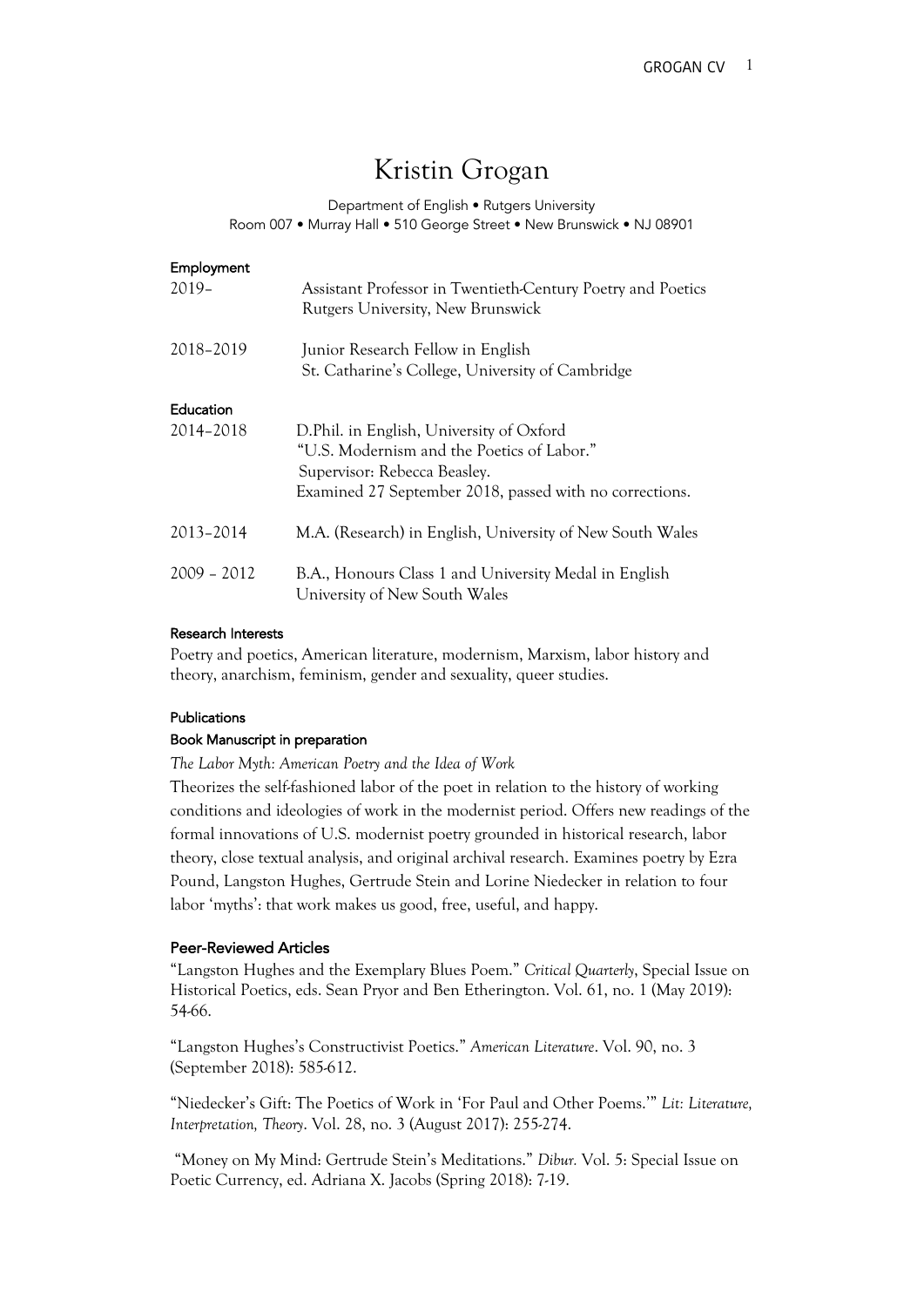# Kristin Grogan

### Department of English • Rutgers University Room 007 • Murray Hall • 510 George Street • New Brunswick • NJ 08901

| Employment    |                                                                                                  |
|---------------|--------------------------------------------------------------------------------------------------|
| $2019 -$      | Assistant Professor in Twentieth-Century Poetry and Poetics<br>Rutgers University, New Brunswick |
| 2018-2019     | Junior Research Fellow in English                                                                |
|               | St. Catharine's College, University of Cambridge                                                 |
| Education     |                                                                                                  |
| 2014-2018     | D.Phil. in English, University of Oxford                                                         |
|               | "U.S. Modernism and the Poetics of Labor."                                                       |
|               | Supervisor: Rebecca Beasley.                                                                     |
|               | Examined 27 September 2018, passed with no corrections.                                          |
| 2013-2014     | M.A. (Research) in English, University of New South Wales                                        |
| $2009 - 2012$ | B.A., Honours Class 1 and University Medal in English<br>University of New South Wales           |

#### Research Interests

Poetry and poetics, American literature, modernism, Marxism, labor history and theory, anarchism, feminism, gender and sexuality, queer studies.

## Publications

### Book Manuscript in preparation

*The Labor Myth: American Poetry and the Idea of Work* 

Theorizes the self-fashioned labor of the poet in relation to the history of working conditions and ideologies of work in the modernist period. Offers new readings of the formal innovations of U.S. modernist poetry grounded in historical research, labor theory, close textual analysis, and original archival research. Examines poetry by Ezra Pound, Langston Hughes, Gertrude Stein and Lorine Niedecker in relation to four labor 'myths': that work makes us good, free, useful, and happy.

#### Peer-Reviewed Articles

"Langston Hughes and the Exemplary Blues Poem." *Critical Quarterly*, Special Issue on Historical Poetics, eds. Sean Pryor and Ben Etherington. Vol. 61, no. 1 (May 2019): 54-66.

"Langston Hughes's Constructivist Poetics." *American Literature*. Vol. 90, no. 3 (September 2018): 585-612.

"Niedecker's Gift: The Poetics of Work in 'For Paul and Other Poems.'" *Lit: Literature, Interpretation, Theory*. Vol. 28, no. 3 (August 2017): 255-274.

"Money on My Mind: Gertrude Stein's Meditations." *Dibur.* Vol. 5: Special Issue on Poetic Currency, ed. Adriana X. Jacobs (Spring 2018): 7-19.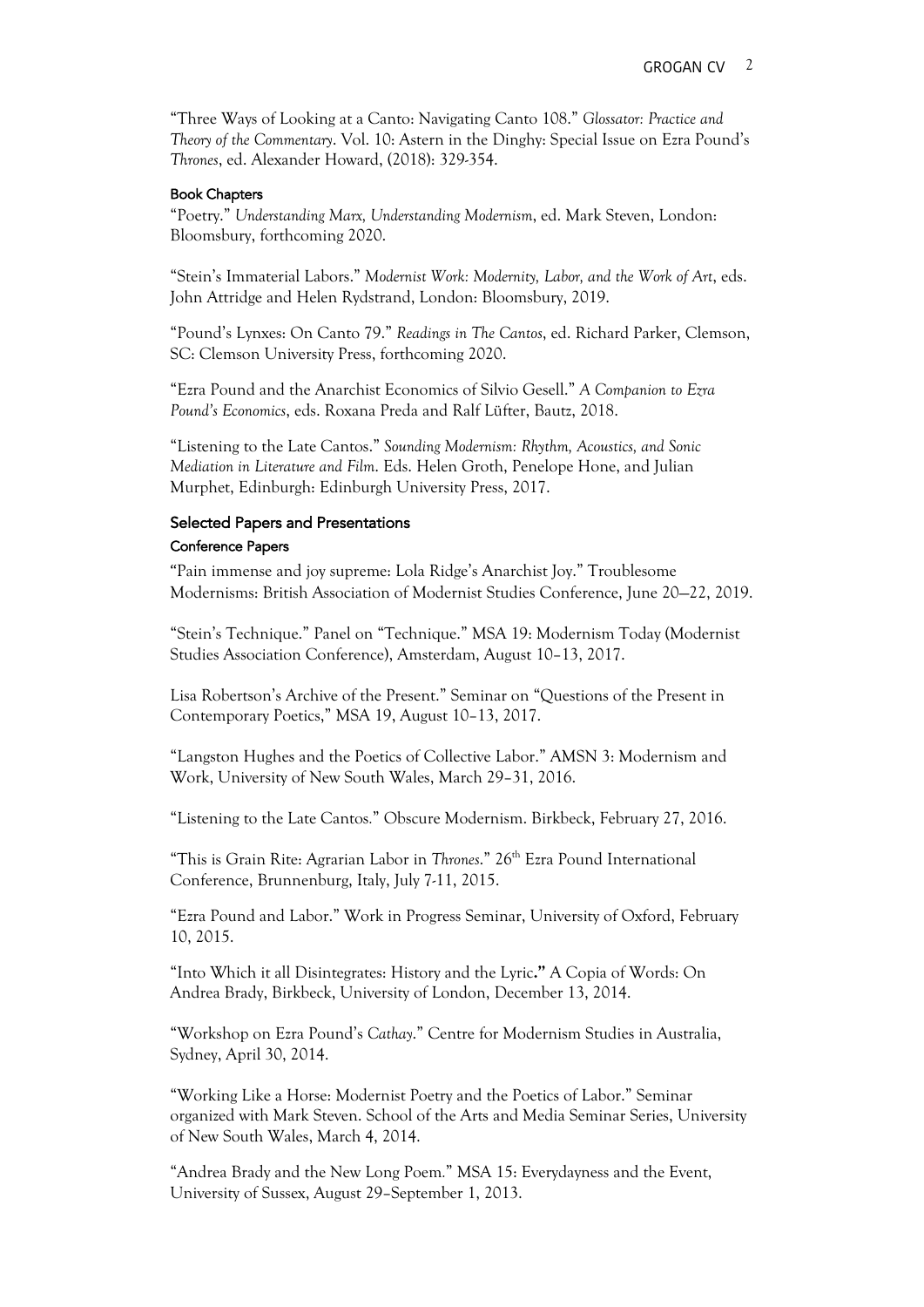"Three Ways of Looking at a Canto: Navigating Canto 108." *Glossator: Practice and Theory of the Commentary*. Vol. 10: Astern in the Dinghy: Special Issue on Ezra Pound's *Thrones*, ed. Alexander Howard, (2018): 329-354.

#### Book Chapters

"Poetry." *Understanding Marx, Understanding Modernism*, ed. Mark Steven, London: Bloomsbury, forthcoming 2020.

"Stein's Immaterial Labors." *Modernist Work: Modernity, Labor, and the Work of Art*, eds. John Attridge and Helen Rydstrand, London: Bloomsbury, 2019.

"Pound's Lynxes: On Canto 79." *Readings in The Cantos*, ed. Richard Parker, Clemson, SC: Clemson University Press, forthcoming 2020.

"Ezra Pound and the Anarchist Economics of Silvio Gesell." *A Companion to Ezra Pound's Economics*, eds. Roxana Preda and Ralf Lüfter, Bautz, 2018.

"Listening to the Late Cantos." *Sounding Modernism: Rhythm, Acoustics, and Sonic Mediation in Literature and Film*. Eds. Helen Groth, Penelope Hone, and Julian Murphet, Edinburgh: Edinburgh University Press, 2017.

# Selected Papers and Presentations

#### Conference Papers

"Pain immense and joy supreme: Lola Ridge's Anarchist Joy." Troublesome Modernisms: British Association of Modernist Studies Conference, June 20—22, 2019.

"Stein's Technique." Panel on "Technique." MSA 19: Modernism Today (Modernist Studies Association Conference), Amsterdam, August 10–13, 2017.

Lisa Robertson's Archive of the Present." Seminar on "Questions of the Present in Contemporary Poetics," MSA 19, August 10–13, 2017.

"Langston Hughes and the Poetics of Collective Labor." AMSN 3: Modernism and Work, University of New South Wales, March 29–31, 2016.

"Listening to the Late Cantos*.*" Obscure Modernism. Birkbeck, February 27, 2016.

"This is Grain Rite: Agrarian Labor in *Thrones*." 26th Ezra Pound International Conference, Brunnenburg, Italy, July 7-11, 2015.

"Ezra Pound and Labor." Work in Progress Seminar, University of Oxford, February 10, 2015.

"Into Which it all Disintegrates: History and the Lyric**."** A Copia of Words: On Andrea Brady, Birkbeck, University of London, December 13, 2014.

"Workshop on Ezra Pound's *Cathay*." Centre for Modernism Studies in Australia, Sydney, April 30, 2014.

"Working Like a Horse: Modernist Poetry and the Poetics of Labor." Seminar organized with Mark Steven. School of the Arts and Media Seminar Series, University of New South Wales, March 4, 2014.

"Andrea Brady and the New Long Poem*.*" MSA 15: Everydayness and the Event, University of Sussex, August 29–September 1, 2013.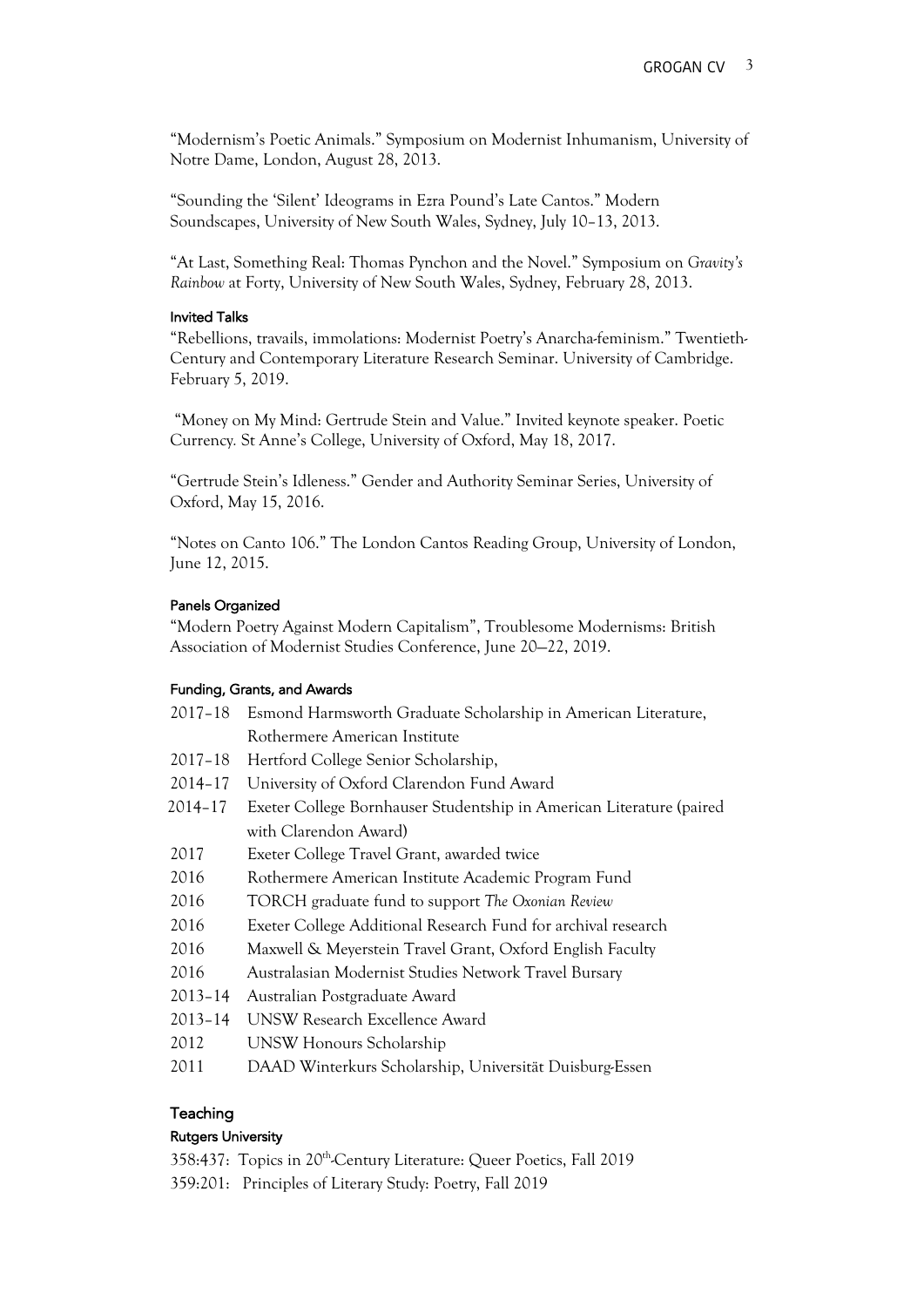"Modernism's Poetic Animals." Symposium on Modernist Inhumanism, University of Notre Dame, London, August 28, 2013.

"Sounding the 'Silent' Ideograms in Ezra Pound's Late Cantos." Modern Soundscapes, University of New South Wales, Sydney, July 10–13, 2013.

"At Last, Something Real: Thomas Pynchon and the Novel." Symposium on *Gravity's Rainbow* at Forty, University of New South Wales, Sydney, February 28, 2013.

#### Invited Talks

"Rebellions, travails, immolations: Modernist Poetry's Anarcha-feminism." Twentieth-Century and Contemporary Literature Research Seminar. University of Cambridge. February 5, 2019.

"Money on My Mind: Gertrude Stein and Value." Invited keynote speaker. Poetic Currency*.* St Anne's College, University of Oxford, May 18, 2017.

"Gertrude Stein's Idleness." Gender and Authority Seminar Series, University of Oxford, May 15, 2016.

"Notes on Canto 106." The London Cantos Reading Group, University of London, June 12, 2015.

## Panels Organized

"Modern Poetry Against Modern Capitalism", Troublesome Modernisms: British Association of Modernist Studies Conference, June 20—22, 2019.

## Funding, Grants, and Awards

| $2017 - 18$ | Esmond Harmsworth Graduate Scholarship in American Literature,       |
|-------------|----------------------------------------------------------------------|
|             | Rothermere American Institute                                        |
| $2017 - 18$ | Hertford College Senior Scholarship,                                 |
| $2014 - 17$ | University of Oxford Clarendon Fund Award                            |
| 2014-17     | Exeter College Bornhauser Studentship in American Literature (paired |
|             | with Clarendon Award)                                                |
| 2017        | Exeter College Travel Grant, awarded twice                           |
| 2016        | Rothermere American Institute Academic Program Fund                  |
| 2016        | TORCH graduate fund to support The Oxonian Review                    |
| 2016        | Exeter College Additional Research Fund for archival research        |
| 2016        | Maxwell & Meyerstein Travel Grant, Oxford English Faculty            |
| 2016        | Australasian Modernist Studies Network Travel Bursary                |
| $2013 - 14$ | Australian Postgraduate Award                                        |
| $2013 - 14$ | <b>UNSW Research Excellence Award</b>                                |
| 2012        | UNSW Honours Scholarship                                             |
|             |                                                                      |

2011 DAAD Winterkurs Scholarship, Universität Duisburg-Essen

## Teaching

## Rutgers University

358:437: Topics in 20th-Century Literature: Queer Poetics, Fall 2019

359:201: Principles of Literary Study: Poetry, Fall 2019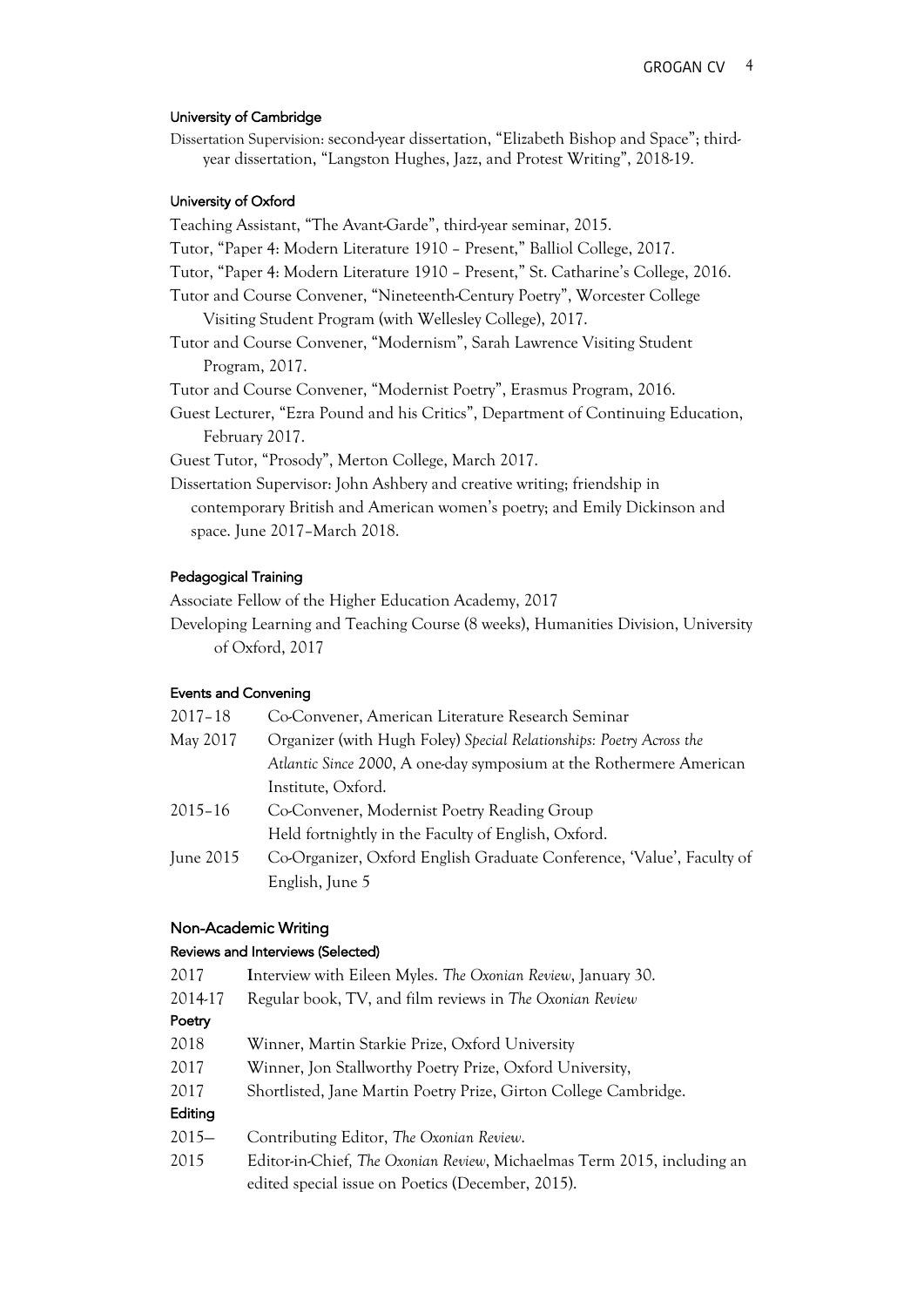## University of Cambridge

Dissertation Supervision: second-year dissertation, "Elizabeth Bishop and Space"; thirdyear dissertation, "Langston Hughes, Jazz, and Protest Writing", 2018-19.

#### University of Oxford

Teaching Assistant, "The Avant-Garde", third-year seminar, 2015. Tutor, "Paper 4: Modern Literature 1910 – Present," Balliol College, 2017. Tutor, "Paper 4: Modern Literature 1910 – Present," St. Catharine's College, 2016. Tutor and Course Convener, "Nineteenth-Century Poetry", Worcester College Visiting Student Program (with Wellesley College), 2017. Tutor and Course Convener, "Modernism", Sarah Lawrence Visiting Student Program, 2017. Tutor and Course Convener, "Modernist Poetry", Erasmus Program, 2016. Guest Lecturer, "Ezra Pound and his Critics", Department of Continuing Education, February 2017. Guest Tutor, "Prosody", Merton College, March 2017. Dissertation Supervisor: John Ashbery and creative writing; friendship in contemporary British and American women's poetry; and Emily Dickinson and space. June 2017–March 2018.

## Pedagogical Training

Associate Fellow of the Higher Education Academy, 2017

Developing Learning and Teaching Course (8 weeks), Humanities Division, University of Oxford, 2017

## Events and Convening

| $2017 - 18$ | Co-Convener, American Literature Research Seminar                     |
|-------------|-----------------------------------------------------------------------|
| May 2017    | Organizer (with Hugh Foley) Special Relationships: Poetry Across the  |
|             | Atlantic Since 2000, A one-day symposium at the Rothermere American   |
|             | Institute, Oxford.                                                    |
| $2015 - 16$ | Co-Convener, Modernist Poetry Reading Group                           |
|             | Held fortnightly in the Faculty of English, Oxford.                   |
| June 2015   | Co-Organizer, Oxford English Graduate Conference, 'Value', Faculty of |
|             | English, June 5                                                       |

## Non-Academic Writing

## Reviews and Interviews (Selected)

| 2017     | Interview with Eileen Myles. The Oxonian Review, January 30.            |
|----------|-------------------------------------------------------------------------|
| 2014-17  | Regular book, TV, and film reviews in The Oxonian Review                |
| Poetry   |                                                                         |
| 2018     | Winner, Martin Starkie Prize, Oxford University                         |
| 2017     | Winner, Jon Stallworthy Poetry Prize, Oxford University,                |
| 2017     | Shortlisted, Jane Martin Poetry Prize, Girton College Cambridge.        |
| Editing  |                                                                         |
| $2015 -$ | Contributing Editor, The Oxonian Review.                                |
| 2015     | Editor-in-Chief, The Oxonian Review, Michaelmas Term 2015, including an |
|          | edited special issue on Poetics (December, 2015).                       |